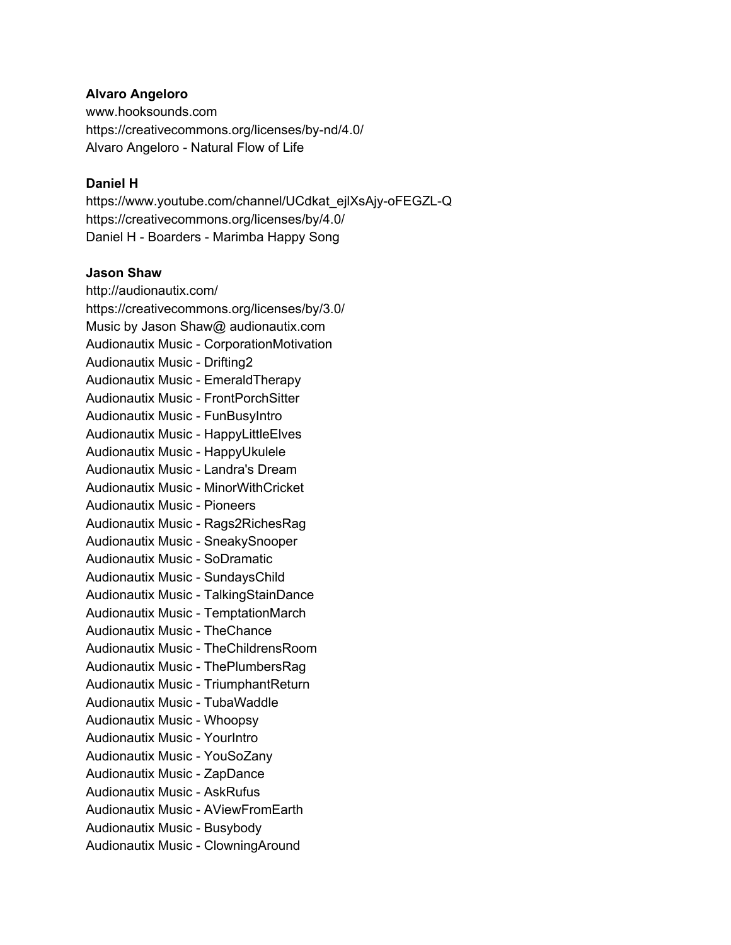# **Alvaro Angeloro**

www.hooksounds.com https://creativecommons.org/licenses/by-nd/4.0/ Alvaro Angeloro - Natural Flow of Life

# **Daniel H**

https://www.youtube.com/channel/UCdkat\_ejlXsAjy-oFEGZL-Q https://creativecommons.org/licenses/by/4.0/ Daniel H - Boarders - Marimba Happy Song

#### **Jason Shaw**

http://audionautix.com/ https://creativecommons.org/licenses/by/3.0/ Music by Jason Shaw@ audionautix.com Audionautix Music - CorporationMotivation Audionautix Music - Drifting2 Audionautix Music - EmeraldTherapy Audionautix Music - FrontPorchSitter Audionautix Music - FunBusyIntro Audionautix Music - HappyLittleElves Audionautix Music - HappyUkulele Audionautix Music - Landra's Dream Audionautix Music - MinorWithCricket Audionautix Music - Pioneers Audionautix Music - Rags2RichesRag Audionautix Music - SneakySnooper Audionautix Music - SoDramatic Audionautix Music - SundaysChild Audionautix Music - TalkingStainDance Audionautix Music - TemptationMarch Audionautix Music - TheChance Audionautix Music - TheChildrensRoom Audionautix Music - ThePlumbersRag Audionautix Music - TriumphantReturn Audionautix Music - TubaWaddle Audionautix Music - Whoopsy Audionautix Music - YourIntro Audionautix Music - YouSoZany Audionautix Music - ZapDance Audionautix Music - AskRufus Audionautix Music - AViewFromEarth Audionautix Music - Busybody Audionautix Music - ClowningAround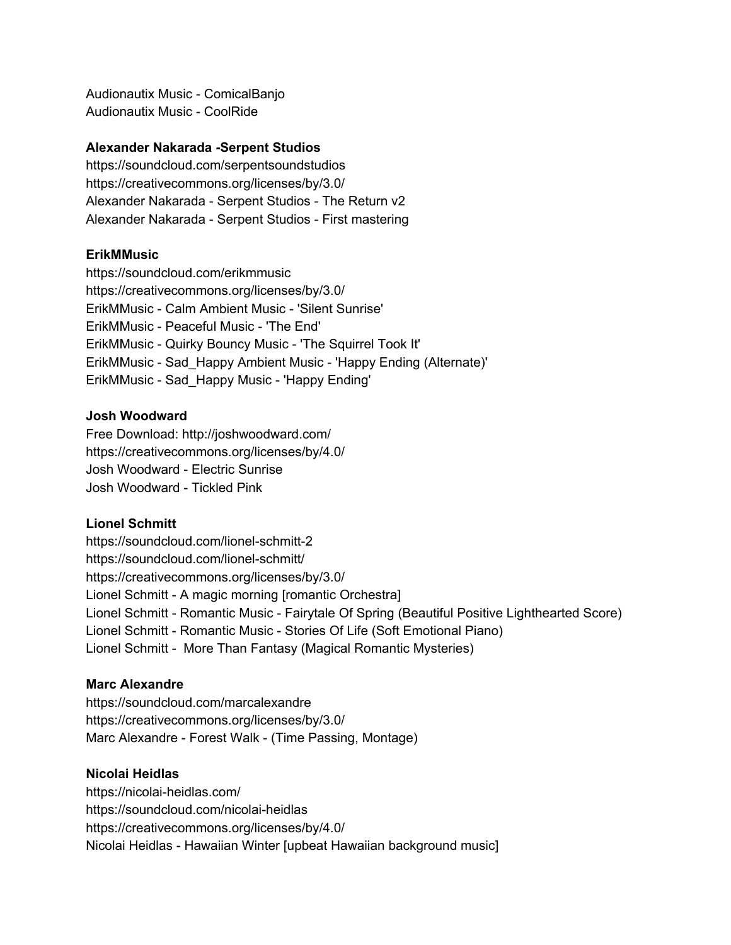Audionautix Music - ComicalBanjo Audionautix Music - CoolRide

# **Alexander Nakarada -Serpent Studios**

https://soundcloud.com/serpentsoundstudios https://creativecommons.org/licenses/by/3.0/ Alexander Nakarada - Serpent Studios - The Return v2 Alexander Nakarada - Serpent Studios - First mastering

#### **ErikMMusic**

https://soundcloud.com/erikmmusic https://creativecommons.org/licenses/by/3.0/ ErikMMusic - Calm Ambient Music - 'Silent Sunrise' ErikMMusic - Peaceful Music - 'The End' ErikMMusic - Quirky Bouncy Music - 'The Squirrel Took It' ErikMMusic - Sad\_Happy Ambient Music - 'Happy Ending (Alternate)' ErikMMusic - Sad\_Happy Music - 'Happy Ending'

#### **Josh Woodward**

Free Download: http://joshwoodward.com/ https://creativecommons.org/licenses/by/4.0/ Josh Woodward - Electric Sunrise Josh Woodward - Tickled Pink

#### **Lionel Schmitt**

https://soundcloud.com/lionel-schmitt-2 https://soundcloud.com/lionel-schmitt/ https://creativecommons.org/licenses/by/3.0/ Lionel Schmitt - A magic morning [romantic Orchestra] Lionel Schmitt - Romantic Music - Fairytale Of Spring (Beautiful Positive Lighthearted Score) Lionel Schmitt - Romantic Music - Stories Of Life (Soft Emotional Piano) Lionel Schmitt - More Than Fantasy (Magical Romantic Mysteries)

#### **Marc Alexandre**

https://soundcloud.com/marcalexandre https://creativecommons.org/licenses/by/3.0/ Marc Alexandre - Forest Walk - (Time Passing, Montage)

#### **Nicolai Heidlas**

https://nicolai-heidlas.com/ https://soundcloud.com/nicolai-heidlas https://creativecommons.org/licenses/by/4.0/ Nicolai Heidlas - Hawaiian Winter [upbeat Hawaiian background music]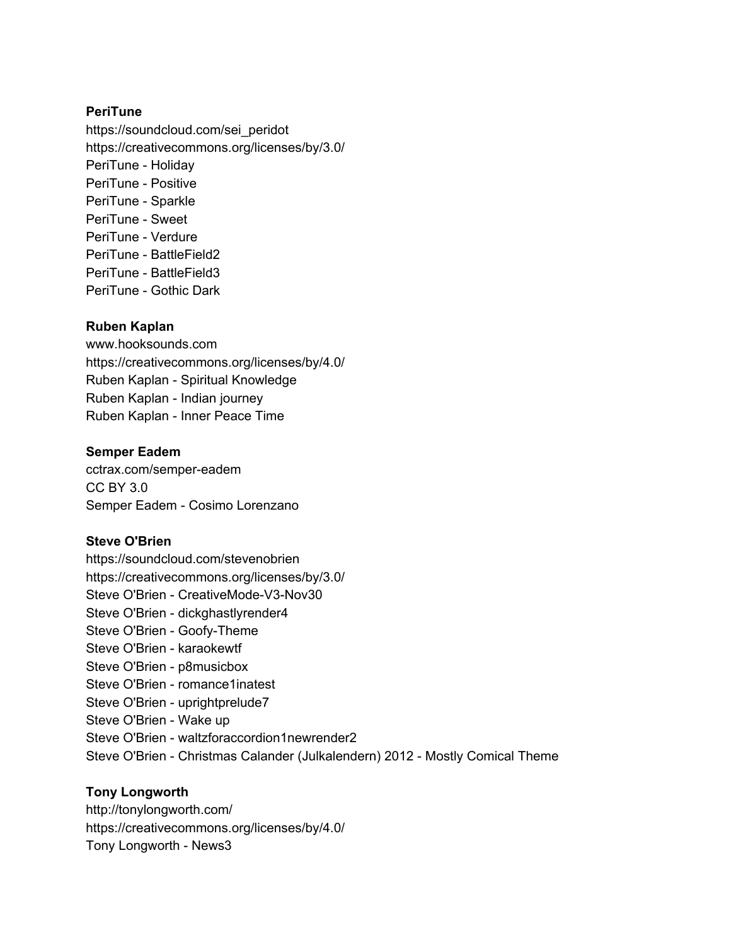# **PeriTune**

https://soundcloud.com/sei\_peridot https://creativecommons.org/licenses/by/3.0/ PeriTune - Holiday PeriTune - Positive PeriTune - Sparkle PeriTune - Sweet PeriTune - Verdure PeriTune - BattleField2 PeriTune - BattleField3 PeriTune - Gothic Dark

#### **Ruben Kaplan**

www.hooksounds.com https://creativecommons.org/licenses/by/4.0/ Ruben Kaplan - Spiritual Knowledge Ruben Kaplan - Indian journey Ruben Kaplan - Inner Peace Time

#### **Semper Eadem**

cctrax.com/semper-eadem CC BY 3.0 Semper Eadem - Cosimo Lorenzano

# **Steve O'Brien**

https://soundcloud.com/stevenobrien https://creativecommons.org/licenses/by/3.0/ Steve O'Brien - CreativeMode-V3-Nov30 Steve O'Brien - dickghastlyrender4 Steve O'Brien - Goofy-Theme Steve O'Brien - karaokewtf Steve O'Brien - p8musicbox Steve O'Brien - romance1inatest Steve O'Brien - uprightprelude7 Steve O'Brien - Wake up Steve O'Brien - waltzforaccordion1newrender2 Steve O'Brien - Christmas Calander (Julkalendern) 2012 - Mostly Comical Theme

# **Tony Longworth**

http://tonylongworth.com/ https://creativecommons.org/licenses/by/4.0/ Tony Longworth - News3